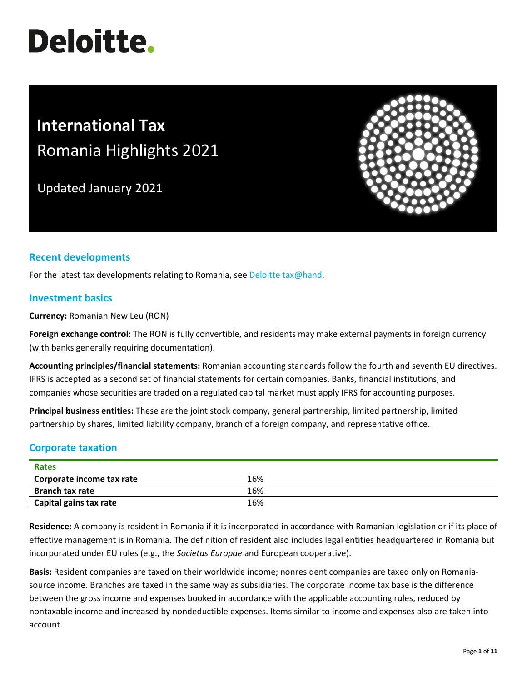# **Deloitte.**

# **International Tax** Romania Highlights 2021

Updated January 2021



# **Recent developments**

For the latest tax developments relating to Romania, se[e Deloitte tax@hand.](https://www.taxathand.com/world-news/romania)

#### **Investment basics**

**Currency:** Romanian New Leu (RON)

**Foreign exchange control:** The RON is fully convertible, and residents may make external payments in foreign currency (with banks generally requiring documentation).

**Accounting principles/financial statements:** Romanian accounting standards follow the fourth and seventh EU directives. IFRS is accepted as a second set of financial statements for certain companies. Banks, financial institutions, and companies whose securities are traded on a regulated capital market must apply IFRS for accounting purposes.

**Principal business entities:** These are the joint stock company, general partnership, limited partnership, limited partnership by shares, limited liability company, branch of a foreign company, and representative office.

# **Corporate taxation**

| Rates                     |     |  |
|---------------------------|-----|--|
| Corporate income tax rate | 16% |  |
| <b>Branch tax rate</b>    | 16% |  |
| Capital gains tax rate    | 16% |  |

**Residence:** A company is resident in Romania if it is incorporated in accordance with Romanian legislation or if its place of effective management is in Romania. The definition of resident also includes legal entities headquartered in Romania but incorporated under EU rules (e.g., the *Societas Europae* and European cooperative).

**Basis:** Resident companies are taxed on their worldwide income; nonresident companies are taxed only on Romaniasource income. Branches are taxed in the same way as subsidiaries. The corporate income tax base is the difference between the gross income and expenses booked in accordance with the applicable accounting rules, reduced by nontaxable income and increased by nondeductible expenses. Items similar to income and expenses also are taken into account.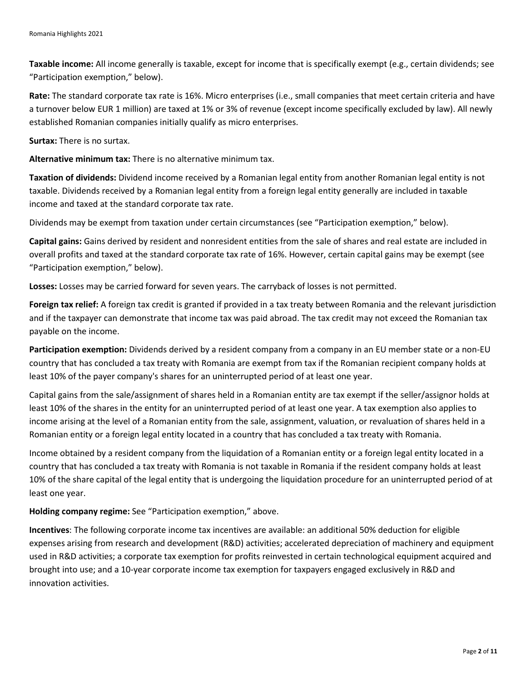**Taxable income:** All income generally is taxable, except for income that is specifically exempt (e.g., certain dividends; see "Participation exemption," below).

**Rate:** The standard corporate tax rate is 16%. Micro enterprises (i.e., small companies that meet certain criteria and have a turnover below EUR 1 million) are taxed at 1% or 3% of revenue (except income specifically excluded by law). All newly established Romanian companies initially qualify as micro enterprises.

**Surtax:** There is no surtax.

**Alternative minimum tax:** There is no alternative minimum tax.

**Taxation of dividends:** Dividend income received by a Romanian legal entity from another Romanian legal entity is not taxable. Dividends received by a Romanian legal entity from a foreign legal entity generally are included in taxable income and taxed at the standard corporate tax rate.

Dividends may be exempt from taxation under certain circumstances (see "Participation exemption," below).

**Capital gains:** Gains derived by resident and nonresident entities from the sale of shares and real estate are included in overall profits and taxed at the standard corporate tax rate of 16%. However, certain capital gains may be exempt (see "Participation exemption," below).

**Losses:** Losses may be carried forward for seven years. The carryback of losses is not permitted.

**Foreign tax relief:** A foreign tax credit is granted if provided in a tax treaty between Romania and the relevant jurisdiction and if the taxpayer can demonstrate that income tax was paid abroad. The tax credit may not exceed the Romanian tax payable on the income.

**Participation exemption:** Dividends derived by a resident company from a company in an EU member state or a non-EU country that has concluded a tax treaty with Romania are exempt from tax if the Romanian recipient company holds at least 10% of the payer company's shares for an uninterrupted period of at least one year.

Capital gains from the sale/assignment of shares held in a Romanian entity are tax exempt if the seller/assignor holds at least 10% of the shares in the entity for an uninterrupted period of at least one year. A tax exemption also applies to income arising at the level of a Romanian entity from the sale, assignment, valuation, or revaluation of shares held in a Romanian entity or a foreign legal entity located in a country that has concluded a tax treaty with Romania.

Income obtained by a resident company from the liquidation of a Romanian entity or a foreign legal entity located in a country that has concluded a tax treaty with Romania is not taxable in Romania if the resident company holds at least 10% of the share capital of the legal entity that is undergoing the liquidation procedure for an uninterrupted period of at least one year.

**Holding company regime:** See "Participation exemption," above.

**Incentives**: The following corporate income tax incentives are available: an additional 50% deduction for eligible expenses arising from research and development (R&D) activities; accelerated depreciation of machinery and equipment used in R&D activities; a corporate tax exemption for profits reinvested in certain technological equipment acquired and brought into use; and a 10-year corporate income tax exemption for taxpayers engaged exclusively in R&D and innovation activities.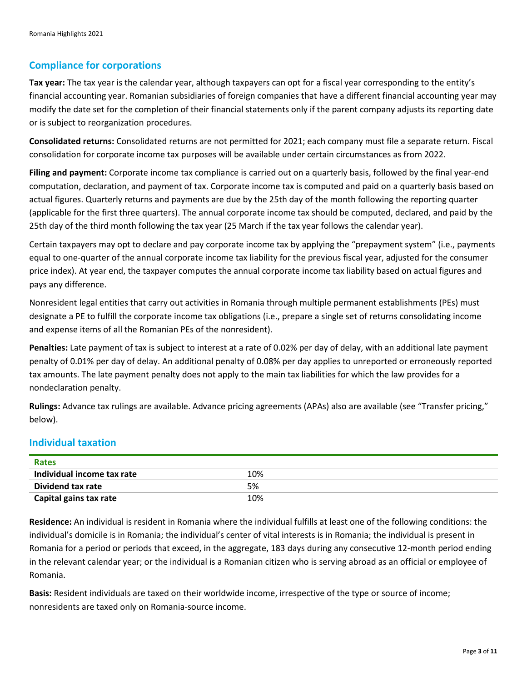# **Compliance for corporations**

**Tax year:** The tax year is the calendar year, although taxpayers can opt for a fiscal year corresponding to the entity's financial accounting year. Romanian subsidiaries of foreign companies that have a different financial accounting year may modify the date set for the completion of their financial statements only if the parent company adjusts its reporting date or is subject to reorganization procedures.

**Consolidated returns:** Consolidated returns are not permitted for 2021; each company must file a separate return. Fiscal consolidation for corporate income tax purposes will be available under certain circumstances as from 2022.

**Filing and payment:** Corporate income tax compliance is carried out on a quarterly basis, followed by the final year-end computation, declaration, and payment of tax. Corporate income tax is computed and paid on a quarterly basis based on actual figures. Quarterly returns and payments are due by the 25th day of the month following the reporting quarter (applicable for the first three quarters). The annual corporate income tax should be computed, declared, and paid by the 25th day of the third month following the tax year (25 March if the tax year follows the calendar year).

Certain taxpayers may opt to declare and pay corporate income tax by applying the "prepayment system" (i.e., payments equal to one-quarter of the annual corporate income tax liability for the previous fiscal year, adjusted for the consumer price index). At year end, the taxpayer computes the annual corporate income tax liability based on actual figures and pays any difference.

Nonresident legal entities that carry out activities in Romania through multiple permanent establishments (PEs) must designate a PE to fulfill the corporate income tax obligations (i.e., prepare a single set of returns consolidating income and expense items of all the Romanian PEs of the nonresident).

**Penalties:** Late payment of tax is subject to interest at a rate of 0.02% per day of delay, with an additional late payment penalty of 0.01% per day of delay. An additional penalty of 0.08% per day applies to unreported or erroneously reported tax amounts. The late payment penalty does not apply to the main tax liabilities for which the law provides for a nondeclaration penalty.

**Rulings:** Advance tax rulings are available. Advance pricing agreements (APAs) also are available (see "Transfer pricing," below).

# **Individual taxation**

| Rates                      |     |  |
|----------------------------|-----|--|
| Individual income tax rate | 10% |  |
| Dividend tax rate          | 5%  |  |
| Capital gains tax rate     | 10% |  |

**Residence:** An individual is resident in Romania where the individual fulfills at least one of the following conditions: the individual's domicile is in Romania; the individual's center of vital interests is in Romania; the individual is present in Romania for a period or periods that exceed, in the aggregate, 183 days during any consecutive 12-month period ending in the relevant calendar year; or the individual is a Romanian citizen who is serving abroad as an official or employee of Romania.

**Basis:** Resident individuals are taxed on their worldwide income, irrespective of the type or source of income; nonresidents are taxed only on Romania-source income.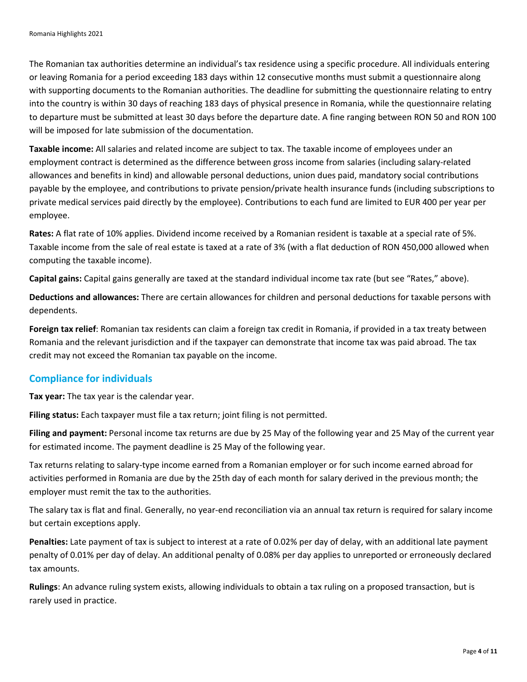The Romanian tax authorities determine an individual's tax residence using a specific procedure. All individuals entering or leaving Romania for a period exceeding 183 days within 12 consecutive months must submit a questionnaire along with supporting documents to the Romanian authorities. The deadline for submitting the questionnaire relating to entry into the country is within 30 days of reaching 183 days of physical presence in Romania, while the questionnaire relating to departure must be submitted at least 30 days before the departure date. A fine ranging between RON 50 and RON 100 will be imposed for late submission of the documentation.

**Taxable income:** All salaries and related income are subject to tax. The taxable income of employees under an employment contract is determined as the difference between gross income from salaries (including salary-related allowances and benefits in kind) and allowable personal deductions, union dues paid, mandatory social contributions payable by the employee, and contributions to private pension/private health insurance funds (including subscriptions to private medical services paid directly by the employee). Contributions to each fund are limited to EUR 400 per year per employee.

**Rates:** A flat rate of 10% applies. Dividend income received by a Romanian resident is taxable at a special rate of 5%. Taxable income from the sale of real estate is taxed at a rate of 3% (with a flat deduction of RON 450,000 allowed when computing the taxable income).

**Capital gains:** Capital gains generally are taxed at the standard individual income tax rate (but see "Rates," above).

**Deductions and allowances:** There are certain allowances for children and personal deductions for taxable persons with dependents.

**Foreign tax relief**: Romanian tax residents can claim a foreign tax credit in Romania, if provided in a tax treaty between Romania and the relevant jurisdiction and if the taxpayer can demonstrate that income tax was paid abroad. The tax credit may not exceed the Romanian tax payable on the income.

# **Compliance for individuals**

**Tax year:** The tax year is the calendar year.

**Filing status:** Each taxpayer must file a tax return; joint filing is not permitted.

**Filing and payment:** Personal income tax returns are due by 25 May of the following year and 25 May of the current year for estimated income. The payment deadline is 25 May of the following year.

Tax returns relating to salary-type income earned from a Romanian employer or for such income earned abroad for activities performed in Romania are due by the 25th day of each month for salary derived in the previous month; the employer must remit the tax to the authorities.

The salary tax is flat and final. Generally, no year-end reconciliation via an annual tax return is required for salary income but certain exceptions apply.

**Penalties:** Late payment of tax is subject to interest at a rate of 0.02% per day of delay, with an additional late payment penalty of 0.01% per day of delay. An additional penalty of 0.08% per day applies to unreported or erroneously declared tax amounts.

**Rulings**: An advance ruling system exists, allowing individuals to obtain a tax ruling on a proposed transaction, but is rarely used in practice.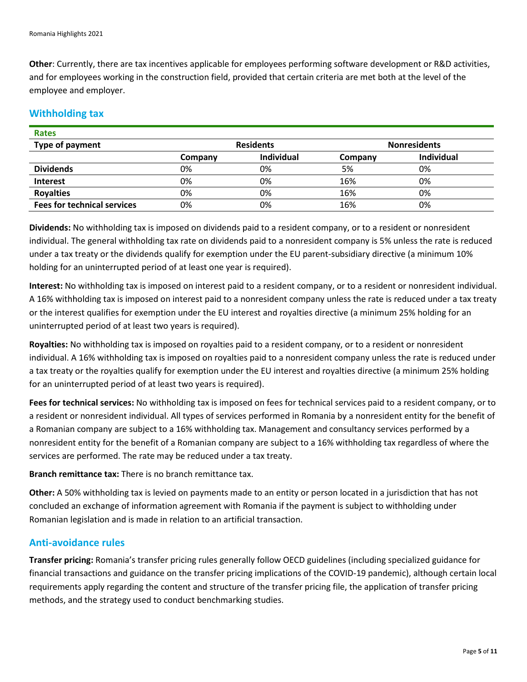**Other**: Currently, there are tax incentives applicable for employees performing software development or R&D activities, and for employees working in the construction field, provided that certain criteria are met both at the level of the employee and employer.

#### **Withholding tax**

| <b>Rates</b>                       |                  |                   |                     |            |
|------------------------------------|------------------|-------------------|---------------------|------------|
| Type of payment                    | <b>Residents</b> |                   | <b>Nonresidents</b> |            |
|                                    | Company          | <b>Individual</b> | Company             | Individual |
| <b>Dividends</b>                   | 0%               | 0%                | 5%                  | 0%         |
| <b>Interest</b>                    | 0%               | 0%                | 16%                 | 0%         |
| <b>Royalties</b>                   | 0%               | 0%                | 16%                 | 0%         |
| <b>Fees for technical services</b> | 0%               | 0%                | 16%                 | 0%         |

**Dividends:** No withholding tax is imposed on dividends paid to a resident company, or to a resident or nonresident individual. The general withholding tax rate on dividends paid to a nonresident company is 5% unless the rate is reduced under a tax treaty or the dividends qualify for exemption under the EU parent-subsidiary directive (a minimum 10% holding for an uninterrupted period of at least one year is required).

**Interest:** No withholding tax is imposed on interest paid to a resident company, or to a resident or nonresident individual. A 16% withholding tax is imposed on interest paid to a nonresident company unless the rate is reduced under a tax treaty or the interest qualifies for exemption under the EU interest and royalties directive (a minimum 25% holding for an uninterrupted period of at least two years is required).

**Royalties:** No withholding tax is imposed on royalties paid to a resident company, or to a resident or nonresident individual. A 16% withholding tax is imposed on royalties paid to a nonresident company unless the rate is reduced under a tax treaty or the royalties qualify for exemption under the EU interest and royalties directive (a minimum 25% holding for an uninterrupted period of at least two years is required).

**Fees for technical services:** No withholding tax is imposed on fees for technical services paid to a resident company, or to a resident or nonresident individual. All types of services performed in Romania by a nonresident entity for the benefit of a Romanian company are subject to a 16% withholding tax. Management and consultancy services performed by a nonresident entity for the benefit of a Romanian company are subject to a 16% withholding tax regardless of where the services are performed. The rate may be reduced under a tax treaty.

**Branch remittance tax:** There is no branch remittance tax.

**Other:** A 50% withholding tax is levied on payments made to an entity or person located in a jurisdiction that has not concluded an exchange of information agreement with Romania if the payment is subject to withholding under Romanian legislation and is made in relation to an artificial transaction.

#### **Anti-avoidance rules**

**Transfer pricing:** Romania's transfer pricing rules generally follow OECD guidelines (including specialized guidance for financial transactions and guidance on the transfer pricing implications of the COVID-19 pandemic), although certain local requirements apply regarding the content and structure of the transfer pricing file, the application of transfer pricing methods, and the strategy used to conduct benchmarking studies.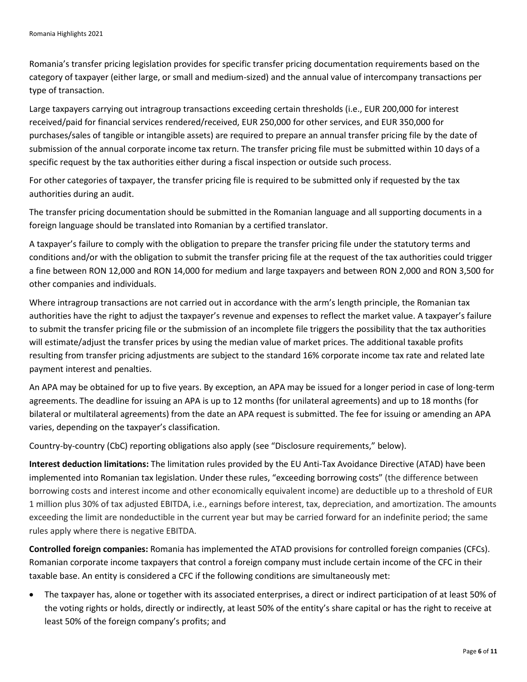Romania's transfer pricing legislation provides for specific transfer pricing documentation requirements based on the category of taxpayer (either large, or small and medium-sized) and the annual value of intercompany transactions per type of transaction.

Large taxpayers carrying out intragroup transactions exceeding certain thresholds (i.e., EUR 200,000 for interest received/paid for financial services rendered/received, EUR 250,000 for other services, and EUR 350,000 for purchases/sales of tangible or intangible assets) are required to prepare an annual transfer pricing file by the date of submission of the annual corporate income tax return. The transfer pricing file must be submitted within 10 days of a specific request by the tax authorities either during a fiscal inspection or outside such process.

For other categories of taxpayer, the transfer pricing file is required to be submitted only if requested by the tax authorities during an audit.

The transfer pricing documentation should be submitted in the Romanian language and all supporting documents in a foreign language should be translated into Romanian by a certified translator.

A taxpayer's failure to comply with the obligation to prepare the transfer pricing file under the statutory terms and conditions and/or with the obligation to submit the transfer pricing file at the request of the tax authorities could trigger a fine between RON 12,000 and RON 14,000 for medium and large taxpayers and between RON 2,000 and RON 3,500 for other companies and individuals.

Where intragroup transactions are not carried out in accordance with the arm's length principle, the Romanian tax authorities have the right to adjust the taxpayer's revenue and expenses to reflect the market value. A taxpayer's failure to submit the transfer pricing file or the submission of an incomplete file triggers the possibility that the tax authorities will estimate/adjust the transfer prices by using the median value of market prices. The additional taxable profits resulting from transfer pricing adjustments are subject to the standard 16% corporate income tax rate and related late payment interest and penalties.

An APA may be obtained for up to five years. By exception, an APA may be issued for a longer period in case of long-term agreements. The deadline for issuing an APA is up to 12 months (for unilateral agreements) and up to 18 months (for bilateral or multilateral agreements) from the date an APA request is submitted. The fee for issuing or amending an APA varies, depending on the taxpayer's classification.

Country-by-country (CbC) reporting obligations also apply (see "Disclosure requirements," below).

**Interest deduction limitations:** The limitation rules provided by the EU Anti-Tax Avoidance Directive (ATAD) have been implemented into Romanian tax legislation. Under these rules, "exceeding borrowing costs" (the difference between borrowing costs and interest income and other economically equivalent income) are deductible up to a threshold of EUR 1 million plus 30% of tax adjusted EBITDA, i.e., earnings before interest, tax, depreciation, and amortization. The amounts exceeding the limit are nondeductible in the current year but may be carried forward for an indefinite period; the same rules apply where there is negative EBITDA.

**Controlled foreign companies:** Romania has implemented the ATAD provisions for controlled foreign companies (CFCs). Romanian corporate income taxpayers that control a foreign company must include certain income of the CFC in their taxable base. An entity is considered a CFC if the following conditions are simultaneously met:

• The taxpayer has, alone or together with its associated enterprises, a direct or indirect participation of at least 50% of the voting rights or holds, directly or indirectly, at least 50% of the entity's share capital or has the right to receive at least 50% of the foreign company's profits; and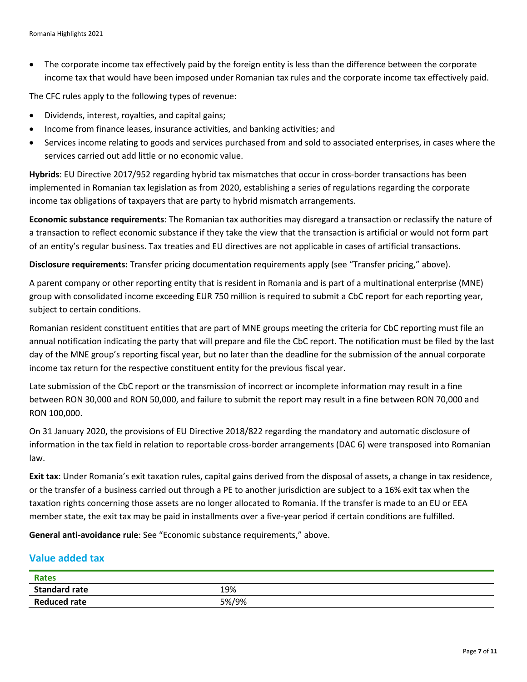• The corporate income tax effectively paid by the foreign entity is less than the difference between the corporate income tax that would have been imposed under Romanian tax rules and the corporate income tax effectively paid.

The CFC rules apply to the following types of revenue:

- Dividends, interest, royalties, and capital gains;
- Income from finance leases, insurance activities, and banking activities; and
- Services income relating to goods and services purchased from and sold to associated enterprises, in cases where the services carried out add little or no economic value.

**Hybrids**: EU Directive 2017/952 regarding hybrid tax mismatches that occur in cross-border transactions has been implemented in Romanian tax legislation as from 2020, establishing a series of regulations regarding the corporate income tax obligations of taxpayers that are party to hybrid mismatch arrangements.

**Economic substance requirements**: The Romanian tax authorities may disregard a transaction or reclassify the nature of a transaction to reflect economic substance if they take the view that the transaction is artificial or would not form part of an entity's regular business. Tax treaties and EU directives are not applicable in cases of artificial transactions.

**Disclosure requirements:** Transfer pricing documentation requirements apply (see "Transfer pricing," above).

A parent company or other reporting entity that is resident in Romania and is part of a multinational enterprise (MNE) group with consolidated income exceeding EUR 750 million is required to submit a CbC report for each reporting year, subject to certain conditions.

Romanian resident constituent entities that are part of MNE groups meeting the criteria for CbC reporting must file an annual notification indicating the party that will prepare and file the CbC report. The notification must be filed by the last day of the MNE group's reporting fiscal year, but no later than the deadline for the submission of the annual corporate income tax return for the respective constituent entity for the previous fiscal year.

Late submission of the CbC report or the transmission of incorrect or incomplete information may result in a fine between RON 30,000 and RON 50,000, and failure to submit the report may result in a fine between RON 70,000 and RON 100,000.

On 31 January 2020, the provisions of EU Directive 2018/822 regarding the mandatory and automatic disclosure of information in the tax field in relation to reportable cross-border arrangements (DAC 6) were transposed into Romanian law.

**Exit tax**: Under Romania's exit taxation rules, capital gains derived from the disposal of assets, a change in tax residence, or the transfer of a business carried out through a PE to another jurisdiction are subject to a 16% exit tax when the taxation rights concerning those assets are no longer allocated to Romania. If the transfer is made to an EU or EEA member state, the exit tax may be paid in installments over a five-year period if certain conditions are fulfilled.

**General anti-avoidance rule**: See "Economic substance requirements," above.

#### **Value added tax**

| <b>Rates</b>         |       |
|----------------------|-------|
| <b>Standard rate</b> | 19%   |
| <b>Reduced rate</b>  | 5%/9% |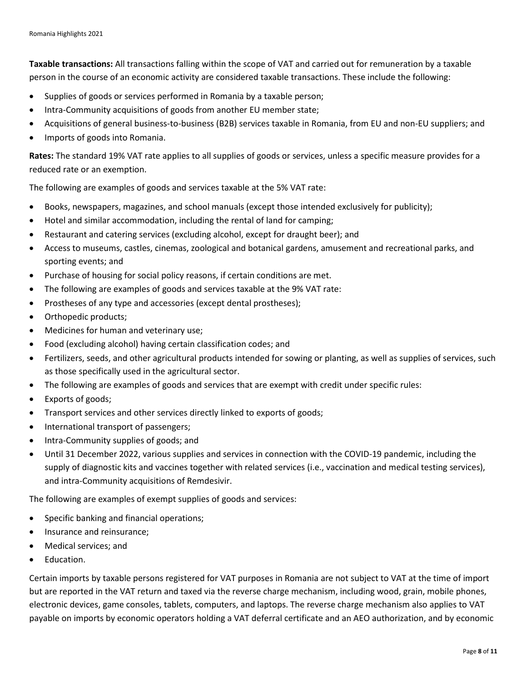**Taxable transactions:** All transactions falling within the scope of VAT and carried out for remuneration by a [taxable](http://ec.europa.eu/taxation_customs/business/vat/eu-vat-rules-topic/taxable-persons-under-eu-vat-rules_en)  [person](http://ec.europa.eu/taxation_customs/business/vat/eu-vat-rules-topic/taxable-persons-under-eu-vat-rules_en) in the course of an economic activity are considered taxable transactions. These include the following:

- Supplies of goods or services performed in Romania by a taxable person;
- Intra-Community acquisitions of goods from another EU member state;
- Acquisitions of general business-to-business (B2B) services taxable in Romania, from EU and non-EU suppliers; and
- Imports of goods into Romania.

**Rates:** The standard 19% VAT rate applies to all supplies of goods or services, unless a specific measure provides for a reduced rate or an exemption.

The following are examples of goods and services taxable at the 5% VAT rate:

- Books, newspapers, magazines, and school manuals (except those intended exclusively for publicity);
- Hotel and similar accommodation, including the rental of land for camping;
- Restaurant and catering services (excluding alcohol, except for draught beer); and
- Access to museums, castles, cinemas, zoological and botanical gardens, amusement and recreational parks, and sporting events; and
- Purchase of housing for social policy reasons, if certain conditions are met.
- The following are examples of goods and services taxable at the 9% VAT rate:
- Prostheses of any type and accessories (except dental prostheses);
- Orthopedic products;
- Medicines for human and veterinary use;
- Food (excluding alcohol) having certain classification codes; and
- Fertilizers, seeds, and other agricultural products intended for sowing or planting, as well as supplies of services, such as those specifically used in the agricultural sector.
- The following are examples of goods and services that are exempt with credit under specific rules:
- Exports of goods;
- Transport services and other services directly linked to exports of goods;
- International transport of passengers;
- Intra-Community supplies of goods; and
- Until 31 December 2022, various supplies and services in connection with the COVID-19 pandemic, including the supply of diagnostic kits and vaccines together with related services (i.e., vaccination and medical testing services), and intra-Community acquisitions of Remdesivir.

The following are examples of exempt supplies of goods and services:

- Specific banking and financial operations;
- Insurance and reinsurance;
- Medical services; and
- Education.

Certain imports by taxable persons registered for VAT purposes in Romania are not subject to VAT at the time of import but are reported in the VAT return and taxed via the reverse charge mechanism, including wood, grain, mobile phones, electronic devices, game consoles, tablets, computers, and laptops. The reverse charge mechanism also applies to VAT payable on imports by economic operators holding a VAT deferral certificate and an AEO authorization, and by economic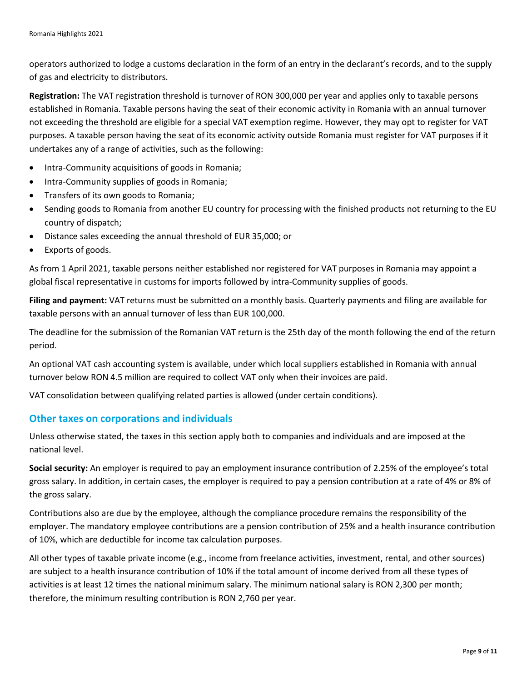operators authorized to lodge a customs declaration in the form of an entry in the declarant's records, and to the supply of gas and electricity to distributors.

**Registration:** The VAT registration threshold is turnover of RON 300,000 per year and applies only to taxable persons established in Romania. Taxable persons having the seat of their economic activity in Romania with an annual turnover not exceeding the threshold are eligible for a special VAT exemption regime. However, they may opt to register for VAT purposes. A taxable person having the seat of its economic activity outside Romania must register for VAT purposes if it undertakes any of a range of activities, such as the following:

- Intra-Community acquisitions of goods in Romania;
- Intra-Community supplies of goods in Romania;
- Transfers of its own goods to Romania;
- Sending goods to Romania from another EU country for processing with the finished products not returning to the EU country of dispatch;
- Distance sales exceeding the annual threshold of EUR 35,000; or
- Exports of goods.

As from 1 April 2021, taxable persons neither established nor registered for VAT purposes in Romania may appoint a global fiscal representative in customs for imports followed by intra-Community supplies of goods.

**Filing and payment:** VAT returns must be submitted on a monthly basis. Quarterly payments and filing are available for taxable persons with an annual turnover of less than EUR 100,000.

The deadline for the submission of the Romanian VAT return is the 25th day of the month following the end of the return period.

An optional VAT cash accounting system is available, under which local suppliers established in Romania with annual turnover below RON 4.5 million are required to collect VAT only when their invoices are paid.

VAT consolidation between qualifying related parties is allowed (under certain conditions).

#### **Other taxes on corporations and individuals**

Unless otherwise stated, the taxes in this section apply both to companies and individuals and are imposed at the national level.

**Social security:** An employer is required to pay an employment insurance contribution of 2.25% of the employee's total gross salary. In addition, in certain cases, the employer is required to pay a pension contribution at a rate of 4% or 8% of the gross salary.

Contributions also are due by the employee, although the compliance procedure remains the responsibility of the employer. The mandatory employee contributions are a pension contribution of 25% and a health insurance contribution of 10%, which are deductible for income tax calculation purposes.

All other types of taxable private income (e.g., income from freelance activities, investment, rental, and other sources) are subject to a health insurance contribution of 10% if the total amount of income derived from all these types of activities is at least 12 times the national minimum salary. The minimum national salary is RON 2,300 per month; therefore, the minimum resulting contribution is RON 2,760 per year.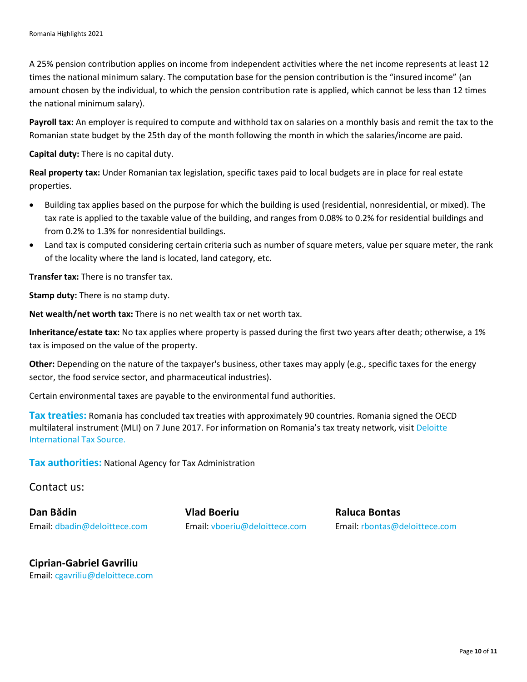A 25% pension contribution applies on income from independent activities where the net income represents at least 12 times the national minimum salary. The computation base for the pension contribution is the "insured income" (an amount chosen by the individual, to which the pension contribution rate is applied, which cannot be less than 12 times the national minimum salary).

**Payroll tax:** An employer is required to compute and withhold tax on salaries on a monthly basis and remit the tax to the Romanian state budget by the 25th day of the month following the month in which the salaries/income are paid.

**Capital duty:** There is no capital duty.

**Real property tax:** Under Romanian tax legislation, specific taxes paid to local budgets are in place for real estate properties.

- Building tax applies based on the purpose for which the building is used (residential, nonresidential, or mixed). The tax rate is applied to the taxable value of the building, and ranges from 0.08% to 0.2% for residential buildings and from 0.2% to 1.3% for nonresidential buildings.
- Land tax is computed considering certain criteria such as number of square meters, value per square meter, the rank of the locality where the land is located, land category, etc.

**Transfer tax:** There is no transfer tax.

**Stamp duty:** There is no stamp duty.

**Net wealth/net worth tax:** There is no net wealth tax or net worth tax.

**Inheritance/estate tax:** No tax applies where property is passed during the first two years after death; otherwise, a 1% tax is imposed on the value of the property.

**Other:** Depending on the nature of the taxpayer's business, other taxes may apply (e.g., specific taxes for the energy sector, the food service sector, and pharmaceutical industries).

Certain environmental taxes are payable to the environmental fund authorities.

**Tax treaties:** Romania has concluded tax treaties with approximately 90 countries. Romania signed the OECD multilateral instrument (MLI) on 7 June 2017. For information on Romania's tax treaty network, visi[t Deloitte](https://www.dits.deloitte.com/#Jurisdiction/43)  [International Tax Source.](https://www.dits.deloitte.com/#Jurisdiction/43)

**Tax authorities:** National Agency for Tax Administration

Contact us:

**Dan Bădin Vlad Boeriu Raluca Bontas** Email: [dbadin@deloittece.com](mailto:dbadin@deloittece.com)

Email: [vboeriu@deloittece.com](mailto:vboeriu@deloittece.com) Email: [rbontas@deloittece.com](mailto:rbontas@deloittece.com)

**Ciprian-Gabriel Gavriliu** Email: [cgavriliu@deloittece.com](mailto:cgavriliu@deloittece.com)